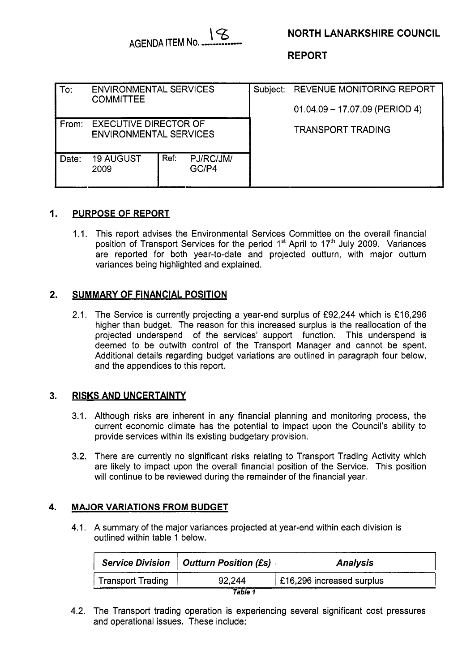

# **NORTH LANARKSHIRE COUNCIL**

**REPORT** 

| $\mathsf{To}$ : | <b>ENVIRONMENTAL SERVICES</b><br><b>COMMITTEE</b>             |      |                    | Subject: | <b>REVENUE MONITORING REPORT</b><br>$01.04.09 - 17.07.09$ (PERIOD 4) |
|-----------------|---------------------------------------------------------------|------|--------------------|----------|----------------------------------------------------------------------|
| From:           | <b>EXECUTIVE DIRECTOR OF</b><br><b>ENVIRONMENTAL SERVICES</b> |      |                    |          | TRANSPORT TRADING                                                    |
| Date:           | <b>19 AUGUST</b><br>2009                                      | Ref: | PJ/RC/JM/<br>GC/P4 |          |                                                                      |

#### **1. PURPOSE OF REPORT**

1.1. This report advises the Environmental Services Committee on the overall financial position of Transport Services for the period 1<sup>st</sup> April to 17<sup>th</sup> July 2009. Variances are reported for both year-to-date and projected outturn, with major outturn variances being highlighted and explained.

#### **2. SUMMARY OF FINANCIAL POSITION**

2.1. The Service is currently projecting a year-end surplus of £92,244 which is £16,296 higher than budget. The reason for this increased surplus is the reallocation of the projected underspend of the services' support function. This underspend is deemed to be outwith control of the Transport Manager and cannot be spent. Additional details regarding budget variations are outlined in paragraph four below, and the appendices to this report.

### **3. RISKS AND UNCERTAINTY**

- 3.1. Although risks are inherent in any financial planning and monitoring process, the current economic climate has the potential to impact upon the Council's ability to provide services within its existing budgetary provision.
- 3.2. There are currently no significant risks relating to Transport Trading Activity which are likely to impact upon the overall financial position of the Service. This position will continue to be reviewed during the remainder of the financial year.

### **4. MAJOR VARIATIONS FROM BUDGET**

4.1. A summary of the major variances projected at year-end within each division is outlined within table 1 below.

|                          | Service Division   Outturn Position (£s) | <b>Analysis</b>           |
|--------------------------|------------------------------------------|---------------------------|
| <b>Transport Trading</b> | 92.244                                   | £16,296 increased surplus |
|                          | Table 1                                  |                           |

4.2. The Transport trading operation is experiencing several significant cost pressures and operational issues. These include: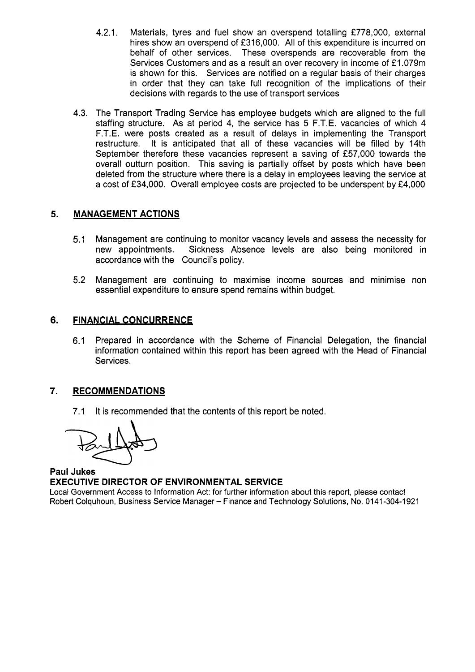- 4.2.1. Materials, tyres and fuel show an overspend totalling £778,000, external hires show an overspend of f316,OOO. All of this expenditure is incurred on behalf of other services. These overspends are recoverable from the Services Customers and as a result an over recovery in income of £1.079m is shown for this. Services are notified on a regular basis of their charges in order that they can take full recognition of the implications of their decisions with regards to the use of transport services
- 4.3. The Transport Trading Service has employee budgets which are aligned to the full staffing structure. As at period 4, the service has 5 F.T.E. vacancies of which 4 F.T.E. were posts created as a result of delays in implementing the Transport restructure. It is anticipated that all of these vacancies will be filled by 14th September therefore these vacancies represent a saving of £57,000 towards the overall outturn position. This saving is partially offset by posts which have been deleted from the structure where there is a delay in employees leaving the service at a cost of £34,000. Overall employee costs are projected to be underspent by £4,000

### **5. MANAGEMENT ACTIONS**

- 5.1 Management are continuing to monitor vacancy levels and assess the necessity for<br>new appointments. Sickness Absence levels are also being monitored in Sickness Absence levels are also being monitored in accordance with the Council's policy.
- 5.2 Management are continuing to maximise income sources and minimise non essential expenditure to ensure spend remains within budget.

#### **6. FINANCIAL CONCURRENCE**

6.1 Prepared in accordance with the Scheme of Financial Delegation, the financial information contained within this report has been agreed with the Head of Financial Services.

### **7. RECOMMENDATIONS**

7.1 It is recommended that the contents of this report be noted.

**Paul Jukes EXECUTIVE DIRECTOR OF ENVIRONMENTAL SERVICE**  Local Government Access to Information Act: for further information about this report, please contact Robert Colquhoun, Business Service Manager - Finance and Technology Solutions, No. **01 41 -304-1 921**